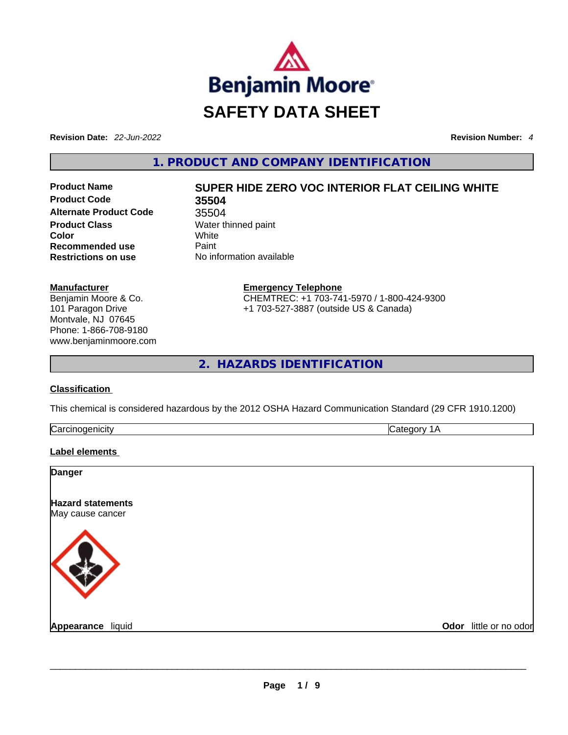

**Revision Date:** *22-Jun-2022* **Revision Number:** *4*

**1. PRODUCT AND COMPANY IDENTIFICATION** 

**Product Code 35504 Alternate Product Code** 35504 **Product Class Water thinned paint Color** White **Recommended use Paint Restrictions on use** No information available

# **Product Name SUPER HIDE ZERO VOC INTERIOR FLAT CEILING WHITE**

Phone: 1-866-708-9180 **Emergency Telephone** CHEMTREC: +1 703-741-5970 / 1-800-424-9300 +1 703-527-3887 (outside US & Canada)

**2. HAZARDS IDENTIFICATION** 

## **Classification**

**Manufacturer**

Benjamin Moore & Co. 101 Paragon Drive Montvale, NJ 07645

www.benjaminmoore.com

This chemical is considered hazardous by the 2012 OSHA Hazard Communication Standard (29 CFR 1910.1200)

| $\sim$<br>IJЗ<br> |  |
|-------------------|--|
|                   |  |

## **Label elements**

| <b>Danger</b>                                |                        |
|----------------------------------------------|------------------------|
| <b>Hazard statements</b><br>May cause cancer |                        |
|                                              |                        |
| Appearance liquid                            | Odor little or no odor |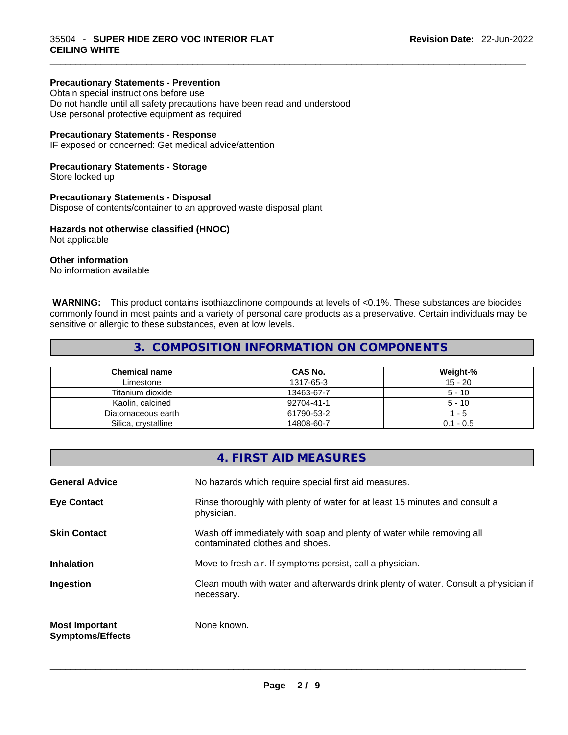## **Precautionary Statements - Prevention**

Obtain special instructions before use Do not handle until all safety precautions have been read and understood Use personal protective equipment as required

#### **Precautionary Statements - Response**

IF exposed or concerned: Get medical advice/attention

#### **Precautionary Statements - Storage**

Store locked up

#### **Precautionary Statements - Disposal**

Dispose of contents/container to an approved waste disposal plant

## **Hazards not otherwise classified (HNOC)**

Not applicable

#### **Other information**

No information available

 **WARNING:** This product contains isothiazolinone compounds at levels of <0.1%. These substances are biocides commonly found in most paints and a variety of personal care products as a preservative. Certain individuals may be sensitive or allergic to these substances, even at low levels.

 $\_$  ,  $\_$  ,  $\_$  ,  $\_$  ,  $\_$  ,  $\_$  ,  $\_$  ,  $\_$  ,  $\_$  ,  $\_$  ,  $\_$  ,  $\_$  ,  $\_$  ,  $\_$  ,  $\_$  ,  $\_$  ,  $\_$  ,  $\_$  ,  $\_$  ,  $\_$  ,  $\_$  ,  $\_$  ,  $\_$  ,  $\_$  ,  $\_$  ,  $\_$  ,  $\_$  ,  $\_$  ,  $\_$  ,  $\_$  ,  $\_$  ,  $\_$  ,  $\_$  ,  $\_$  ,  $\_$  ,  $\_$  ,  $\_$  ,

## **3. COMPOSITION INFORMATION ON COMPONENTS**

| <b>Chemical name</b> | CAS No.    | Weight-%    |
|----------------------|------------|-------------|
| Limestone            | 1317-65-3  | $15 - 20$   |
| Titanium dioxide     | 13463-67-7 | $5 - 10$    |
| Kaolin, calcined     | 92704-41-1 | $5 - 10$    |
| Diatomaceous earth   | 61790-53-2 | $-5$        |
| Silica, crystalline  | 14808-60-7 | $0.1 - 0.5$ |

|                                                  | 4. FIRST AID MEASURES                                                                                    |
|--------------------------------------------------|----------------------------------------------------------------------------------------------------------|
| <b>General Advice</b>                            | No hazards which require special first aid measures.                                                     |
| <b>Eye Contact</b>                               | Rinse thoroughly with plenty of water for at least 15 minutes and consult a<br>physician.                |
| <b>Skin Contact</b>                              | Wash off immediately with soap and plenty of water while removing all<br>contaminated clothes and shoes. |
| <b>Inhalation</b>                                | Move to fresh air. If symptoms persist, call a physician.                                                |
| Ingestion                                        | Clean mouth with water and afterwards drink plenty of water. Consult a physician if<br>necessary.        |
| <b>Most Important</b><br><b>Symptoms/Effects</b> | None known.                                                                                              |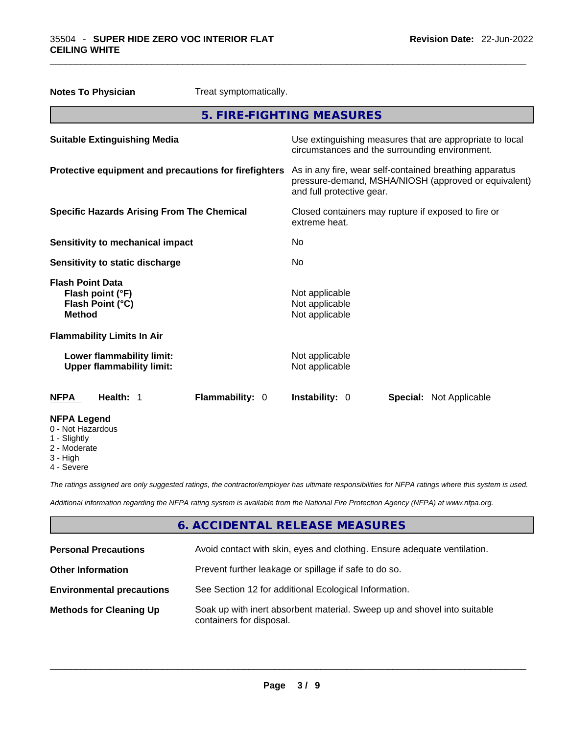| <b>Notes To Physician</b>                                                        |                                                               | Treat symptomatically.                                                                                                                       |                                                |  |                                                          |
|----------------------------------------------------------------------------------|---------------------------------------------------------------|----------------------------------------------------------------------------------------------------------------------------------------------|------------------------------------------------|--|----------------------------------------------------------|
|                                                                                  |                                                               | 5. FIRE-FIGHTING MEASURES                                                                                                                    |                                                |  |                                                          |
|                                                                                  | <b>Suitable Extinguishing Media</b>                           |                                                                                                                                              | circumstances and the surrounding environment. |  | Use extinguishing measures that are appropriate to local |
| Protective equipment and precautions for firefighters                            |                                                               | As in any fire, wear self-contained breathing apparatus<br>pressure-demand, MSHA/NIOSH (approved or equivalent)<br>and full protective gear. |                                                |  |                                                          |
| <b>Specific Hazards Arising From The Chemical</b>                                |                                                               | Closed containers may rupture if exposed to fire or<br>extreme heat.                                                                         |                                                |  |                                                          |
| <b>Sensitivity to mechanical impact</b>                                          |                                                               | No                                                                                                                                           |                                                |  |                                                          |
| Sensitivity to static discharge                                                  |                                                               | No                                                                                                                                           |                                                |  |                                                          |
| <b>Flash Point Data</b><br>Flash point (°F)<br>Flash Point (°C)<br><b>Method</b> |                                                               | Not applicable<br>Not applicable<br>Not applicable                                                                                           |                                                |  |                                                          |
|                                                                                  | <b>Flammability Limits In Air</b>                             |                                                                                                                                              |                                                |  |                                                          |
|                                                                                  | Lower flammability limit:<br><b>Upper flammability limit:</b> |                                                                                                                                              | Not applicable<br>Not applicable               |  |                                                          |
| <b>NFPA</b>                                                                      | Health: 1                                                     | Flammability: 0                                                                                                                              | <b>Instability: 0</b>                          |  | <b>Special:</b> Not Applicable                           |
| <b>NFPA Legend</b><br>0 - Not Hazardous<br>1 - Slightly                          |                                                               |                                                                                                                                              |                                                |  |                                                          |

- 2 Moderate
- 
- 3 High
- 4 Severe

*The ratings assigned are only suggested ratings, the contractor/employer has ultimate responsibilities for NFPA ratings where this system is used.* 

*Additional information regarding the NFPA rating system is available from the National Fire Protection Agency (NFPA) at www.nfpa.org.* 

## **6. ACCIDENTAL RELEASE MEASURES**

| <b>Personal Precautions</b>      | Avoid contact with skin, eyes and clothing. Ensure adequate ventilation.                             |
|----------------------------------|------------------------------------------------------------------------------------------------------|
| <b>Other Information</b>         | Prevent further leakage or spillage if safe to do so.                                                |
| <b>Environmental precautions</b> | See Section 12 for additional Ecological Information.                                                |
| <b>Methods for Cleaning Up</b>   | Soak up with inert absorbent material. Sweep up and shovel into suitable<br>containers for disposal. |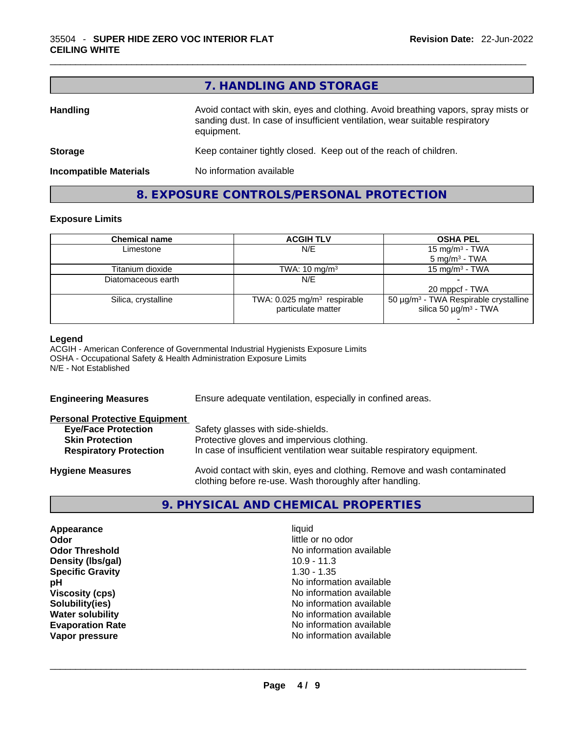|                               | 7. HANDLING AND STORAGE                                                                                                                                                          |
|-------------------------------|----------------------------------------------------------------------------------------------------------------------------------------------------------------------------------|
| <b>Handling</b>               | Avoid contact with skin, eyes and clothing. Avoid breathing vapors, spray mists or<br>sanding dust. In case of insufficient ventilation, wear suitable respiratory<br>equipment. |
| <b>Storage</b>                | Keep container tightly closed. Keep out of the reach of children.                                                                                                                |
| <b>Incompatible Materials</b> | No information available                                                                                                                                                         |

## **8. EXPOSURE CONTROLS/PERSONAL PROTECTION**

## **Exposure Limits**

| <b>Chemical name</b> | <b>ACGIH TLV</b>                        | <b>OSHA PEL</b>                                        |
|----------------------|-----------------------------------------|--------------------------------------------------------|
| Limestone            | N/E                                     | 15 mg/m <sup>3</sup> - TWA                             |
|                      |                                         | $5 \text{ mg/m}^3$ - TWA                               |
| Titanium dioxide     | TWA: $10 \text{ mg/m}^3$                | 15 mg/m $3$ - TWA                                      |
| Diatomaceous earth   | N/E                                     |                                                        |
|                      |                                         | 20 mppcf - TWA                                         |
| Silica, crystalline  | TWA: 0.025 mg/m <sup>3</sup> respirable | 50 $\mu$ g/m <sup>3</sup> - TWA Respirable crystalline |
|                      | particulate matter                      | silica 50 $\mu$ g/m <sup>3</sup> - TWA                 |
|                      |                                         |                                                        |

#### **Legend**

ACGIH - American Conference of Governmental Industrial Hygienists Exposure Limits OSHA - Occupational Safety & Health Administration Exposure Limits N/E - Not Established

| <b>Engineering Measures</b>                                                                                                   | Ensure adequate ventilation, especially in confined areas.                                                                                                  |  |  |
|-------------------------------------------------------------------------------------------------------------------------------|-------------------------------------------------------------------------------------------------------------------------------------------------------------|--|--|
| <b>Personal Protective Equipment</b><br><b>Eye/Face Protection</b><br><b>Skin Protection</b><br><b>Respiratory Protection</b> | Safety glasses with side-shields.<br>Protective gloves and impervious clothing.<br>In case of insufficient ventilation wear suitable respiratory equipment. |  |  |
| <b>Hygiene Measures</b>                                                                                                       | Avoid contact with skin, eyes and clothing. Remove and wash contaminated<br>clothing before re-use. Wash thoroughly after handling.                         |  |  |

## **9. PHYSICAL AND CHEMICAL PROPERTIES**

| Appearance              | liquid                   |  |
|-------------------------|--------------------------|--|
| Odor                    | little or no odor        |  |
| <b>Odor Threshold</b>   | No information available |  |
| Density (Ibs/gal)       | $10.9 - 11.3$            |  |
| <b>Specific Gravity</b> | $1.30 - 1.35$            |  |
| pН                      | No information available |  |
| <b>Viscosity (cps)</b>  | No information available |  |
| Solubility(ies)         | No information available |  |
| <b>Water solubility</b> | No information available |  |
| <b>Evaporation Rate</b> | No information available |  |
| Vapor pressure          | No information available |  |
|                         |                          |  |
|                         |                          |  |
|                         |                          |  |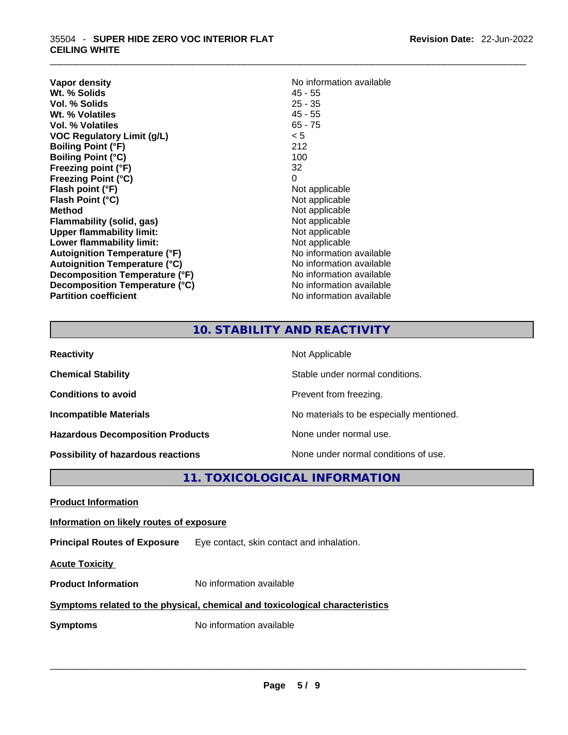| Vapor density                        | No information available |
|--------------------------------------|--------------------------|
| Wt. % Solids                         | $45 - 55$                |
| Vol. % Solids                        | $25 - 35$                |
| Wt. % Volatiles                      | $45 - 55$                |
| Vol. % Volatiles                     | $65 - 75$                |
| <b>VOC Regulatory Limit (g/L)</b>    | < 5                      |
| <b>Boiling Point (°F)</b>            | 212                      |
| <b>Boiling Point (°C)</b>            | 100                      |
| Freezing point (°F)                  | 32                       |
| <b>Freezing Point (°C)</b>           | 0                        |
| Flash point (°F)                     | Not applicable           |
| Flash Point (°C)                     | Not applicable           |
| <b>Method</b>                        | Not applicable           |
| Flammability (solid, gas)            | Not applicable           |
| <b>Upper flammability limit:</b>     | Not applicable           |
| Lower flammability limit:            | Not applicable           |
| <b>Autoignition Temperature (°F)</b> | No information available |
| <b>Autoignition Temperature (°C)</b> | No information available |
| Decomposition Temperature (°F)       | No information available |
| Decomposition Temperature (°C)       | No information available |
| <b>Partition coefficient</b>         | No information available |

## **No information available 45 - 55 Not applicable Not applicable** Not applicable **Flammability (solid, gas)** Not applicable **Not applicable Not applicable No information available No information available No information available No information available No information available**

 $\_$  ,  $\_$  ,  $\_$  ,  $\_$  ,  $\_$  ,  $\_$  ,  $\_$  ,  $\_$  ,  $\_$  ,  $\_$  ,  $\_$  ,  $\_$  ,  $\_$  ,  $\_$  ,  $\_$  ,  $\_$  ,  $\_$  ,  $\_$  ,  $\_$  ,  $\_$  ,  $\_$  ,  $\_$  ,  $\_$  ,  $\_$  ,  $\_$  ,  $\_$  ,  $\_$  ,  $\_$  ,  $\_$  ,  $\_$  ,  $\_$  ,  $\_$  ,  $\_$  ,  $\_$  ,  $\_$  ,  $\_$  ,  $\_$  ,

## **10. STABILITY AND REACTIVITY**

| <b>Reactivity</b>                         | Not Applicable                           |
|-------------------------------------------|------------------------------------------|
| <b>Chemical Stability</b>                 | Stable under normal conditions.          |
| <b>Conditions to avoid</b>                | Prevent from freezing.                   |
| <b>Incompatible Materials</b>             | No materials to be especially mentioned. |
| <b>Hazardous Decomposition Products</b>   | None under normal use.                   |
| <b>Possibility of hazardous reactions</b> | None under normal conditions of use.     |

## **11. TOXICOLOGICAL INFORMATION**

|--|--|

## **Information on likely routes of exposure**

**Principal Routes of Exposure** Eye contact, skin contact and inhalation.

**Acute Toxicity** 

**Product Information** No information available

## **Symptoms related to the physical,chemical and toxicological characteristics**

**Symptoms** No information available **Note that the set of the set of the set of the set of the set of the set of the set of the set of the set of the set of the set of the set of the set of the set of the set of the set of**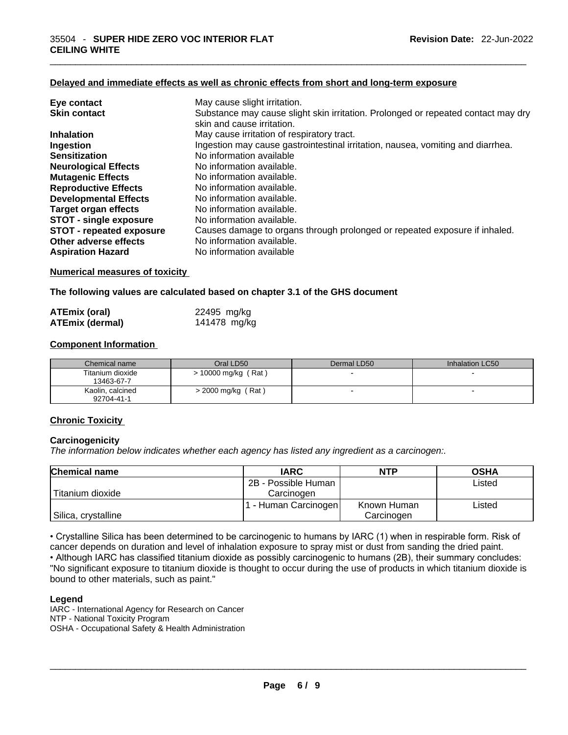## **Delayed and immediate effects as well as chronic effects from short and long-term exposure**

| Eye contact                     | May cause slight irritation.                                                      |
|---------------------------------|-----------------------------------------------------------------------------------|
| <b>Skin contact</b>             | Substance may cause slight skin irritation. Prolonged or repeated contact may dry |
|                                 | skin and cause irritation.                                                        |
| <b>Inhalation</b>               | May cause irritation of respiratory tract.                                        |
| Ingestion                       | Ingestion may cause gastrointestinal irritation, nausea, vomiting and diarrhea.   |
| <b>Sensitization</b>            | No information available                                                          |
| <b>Neurological Effects</b>     | No information available.                                                         |
| <b>Mutagenic Effects</b>        | No information available.                                                         |
| <b>Reproductive Effects</b>     | No information available.                                                         |
| <b>Developmental Effects</b>    | No information available.                                                         |
| Target organ effects            | No information available.                                                         |
| <b>STOT - single exposure</b>   | No information available.                                                         |
| <b>STOT - repeated exposure</b> | Causes damage to organs through prolonged or repeated exposure if inhaled.        |
| Other adverse effects           | No information available.                                                         |
| <b>Aspiration Hazard</b>        | No information available                                                          |

 $\_$  ,  $\_$  ,  $\_$  ,  $\_$  ,  $\_$  ,  $\_$  ,  $\_$  ,  $\_$  ,  $\_$  ,  $\_$  ,  $\_$  ,  $\_$  ,  $\_$  ,  $\_$  ,  $\_$  ,  $\_$  ,  $\_$  ,  $\_$  ,  $\_$  ,  $\_$  ,  $\_$  ,  $\_$  ,  $\_$  ,  $\_$  ,  $\_$  ,  $\_$  ,  $\_$  ,  $\_$  ,  $\_$  ,  $\_$  ,  $\_$  ,  $\_$  ,  $\_$  ,  $\_$  ,  $\_$  ,  $\_$  ,  $\_$  ,

#### **Numerical measures of toxicity**

**The following values are calculated based on chapter 3.1 of the GHS document**

| <b>ATEmix (oral)</b>   | 22495 mg/kg  |
|------------------------|--------------|
| <b>ATEmix (dermal)</b> | 141478 mg/kg |

#### **Component Information**

| Chemical name                  | Oral LD50             | Dermal LD50              | Inhalation LC50          |
|--------------------------------|-----------------------|--------------------------|--------------------------|
| Titanium dioxide<br>13463-67-7 | $> 10000$ mg/kg (Rat) | $\overline{\phantom{0}}$ |                          |
| Kaolin, calcined<br>92704-41-1 | $>$ 2000 mg/kg (Rat)  | $\overline{\phantom{0}}$ | $\overline{\phantom{0}}$ |

#### **Chronic Toxicity**

#### **Carcinogenicity**

*The information below indicates whether each agency has listed any ingredient as a carcinogen:.* 

| <b>Chemical name</b> | <b>IARC</b>          | <b>NTP</b>  | <b>OSHA</b> |
|----------------------|----------------------|-------------|-------------|
|                      | 2B - Possible Human  |             | Listed      |
| Titanium dioxide     | Carcinogen           |             |             |
|                      | 1 - Human Carcinogen | Known Human | Listed      |
| Silica, crystalline  |                      | Carcinogen  |             |

• Crystalline Silica has been determined to be carcinogenic to humans by IARC (1) when in respirable form. Risk of cancer depends on duration and level of inhalation exposure to spray mist or dust from sanding the dried paint.

• Although IARC has classified titanium dioxide as possibly carcinogenic to humans (2B), their summary concludes: "No significant exposure to titanium dioxide is thought to occur during the use of products in which titanium dioxide is bound to other materials, such as paint."

#### **Legend**

IARC - International Agency for Research on Cancer NTP - National Toxicity Program OSHA - Occupational Safety & Health Administration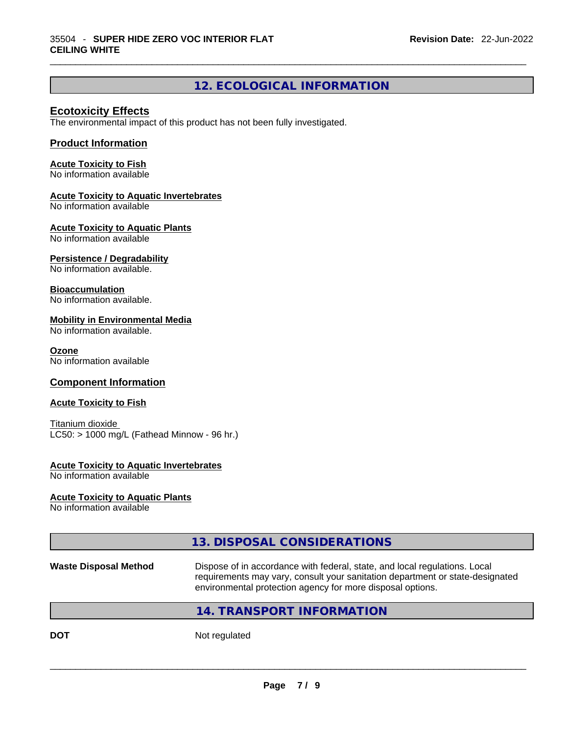## **12. ECOLOGICAL INFORMATION**

 $\_$  ,  $\_$  ,  $\_$  ,  $\_$  ,  $\_$  ,  $\_$  ,  $\_$  ,  $\_$  ,  $\_$  ,  $\_$  ,  $\_$  ,  $\_$  ,  $\_$  ,  $\_$  ,  $\_$  ,  $\_$  ,  $\_$  ,  $\_$  ,  $\_$  ,  $\_$  ,  $\_$  ,  $\_$  ,  $\_$  ,  $\_$  ,  $\_$  ,  $\_$  ,  $\_$  ,  $\_$  ,  $\_$  ,  $\_$  ,  $\_$  ,  $\_$  ,  $\_$  ,  $\_$  ,  $\_$  ,  $\_$  ,  $\_$  ,

## **Ecotoxicity Effects**

The environmental impact of this product has not been fully investigated.

## **Product Information**

#### **Acute Toxicity to Fish**

No information available

#### **Acute Toxicity to Aquatic Invertebrates**

No information available

## **Acute Toxicity to Aquatic Plants**

No information available

## **Persistence / Degradability**

No information available.

## **Bioaccumulation**

No information available.

#### **Mobility in Environmental Media**

No information available.

#### **Ozone**

No information available

## **Component Information**

#### **Acute Toxicity to Fish**

Titanium dioxide  $LC50:$  > 1000 mg/L (Fathead Minnow - 96 hr.)

#### **Acute Toxicity to Aquatic Invertebrates**

No information available

#### **Acute Toxicity to Aquatic Plants**

No information available

## **13. DISPOSAL CONSIDERATIONS**

#### **Waste Disposal Method** Dispose of in accordance with federal, state, and local regulations. Local requirements may vary, consult your sanitation department or state-designated environmental protection agency for more disposal options.

## **14. TRANSPORT INFORMATION**

**DOT** Not regulated  $\blacksquare$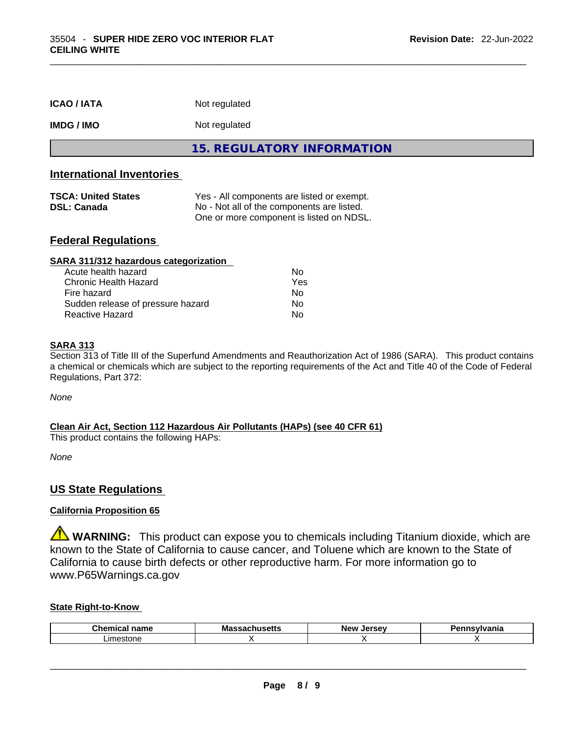| <b>ICAO/IATA</b>                                                                     | Not regulated                                                                                                                        |
|--------------------------------------------------------------------------------------|--------------------------------------------------------------------------------------------------------------------------------------|
| <b>IMDG / IMO</b>                                                                    | Not regulated                                                                                                                        |
|                                                                                      | <b>15. REGULATORY INFORMATION</b>                                                                                                    |
| <b>International Inventories</b><br><b>TSCA: United States</b><br><b>DSL: Canada</b> | Yes - All components are listed or exempt.<br>No - Not all of the components are listed.<br>One or more component is listed on NDSL. |
| <b>Federal Regulations</b>                                                           |                                                                                                                                      |

| SARA 311/312 hazardous categorization |                |  |
|---------------------------------------|----------------|--|
| Acute health hazard                   | Nο             |  |
| Chronic Health Hazard                 | Yes            |  |
| Fire hazard                           | N <sub>0</sub> |  |
| Sudden release of pressure hazard     | No             |  |
| <b>Reactive Hazard</b>                | No             |  |

#### **SARA 313**

Section 313 of Title III of the Superfund Amendments and Reauthorization Act of 1986 (SARA). This product contains a chemical or chemicals which are subject to the reporting requirements of the Act and Title 40 of the Code of Federal Regulations, Part 372:

*None*

## **Clean Air Act,Section 112 Hazardous Air Pollutants (HAPs) (see 40 CFR 61)**

This product contains the following HAPs:

*None*

## **US State Regulations**

## **California Proposition 65**

**WARNING:** This product can expose you to chemicals including Titanium dioxide, which are known to the State of California to cause cancer, and Toluene which are known to the State of California to cause birth defects or other reproductive harm. For more information go to www.P65Warnings.ca.gov

#### **State Right-to-Know**

| $\sim$<br>----<br>.<br>∟n∈<br>юш<br>-- | Мa<br>אואס | New<br><b>Larcay</b> | .<br>нс |
|----------------------------------------|------------|----------------------|---------|
| imaetoni<br><b>SIOL</b><br>16          |            |                      |         |